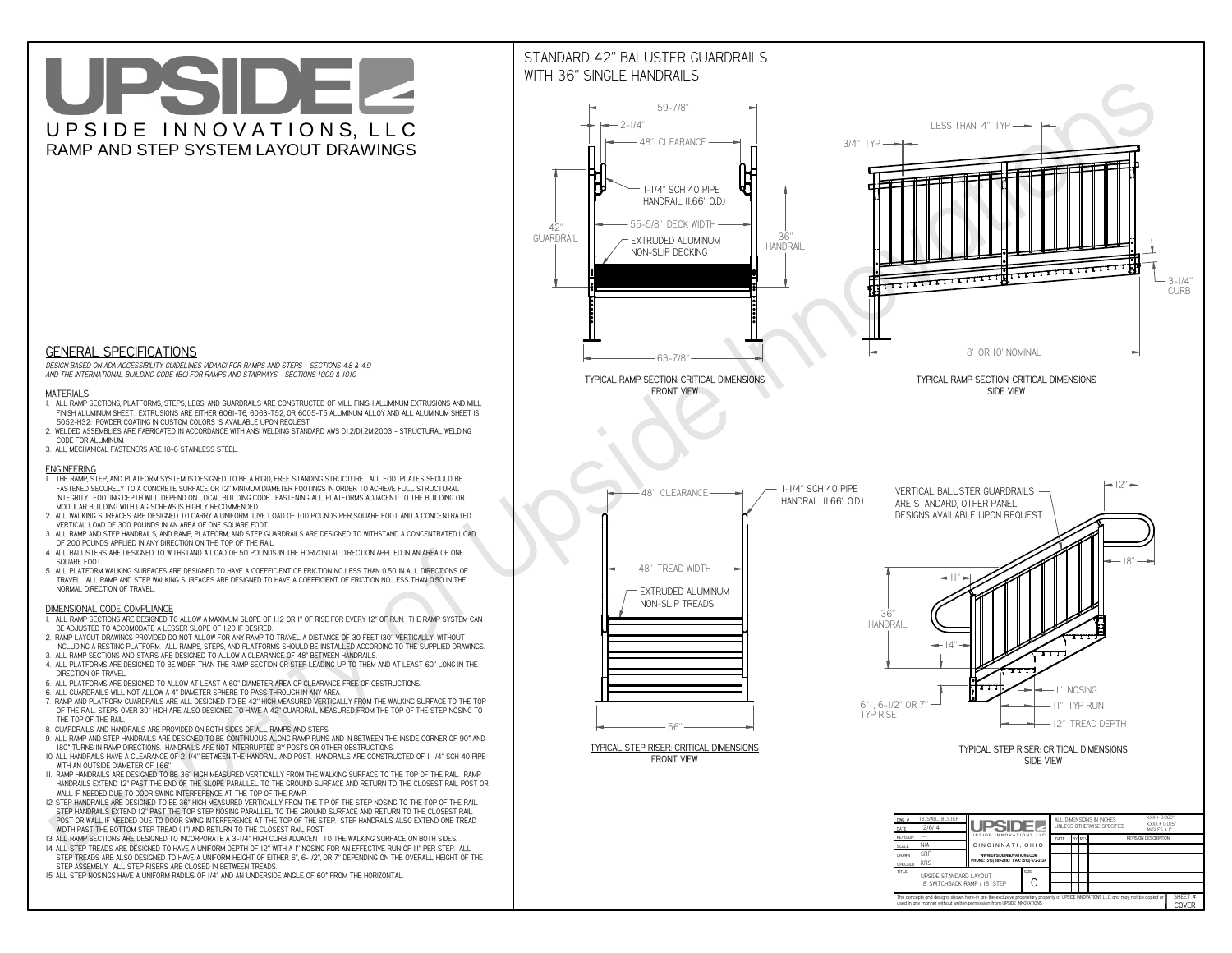# UPSIDEL UPSIDE INNOVATIONS, LLC RAMP AND STEP SYSTEM LAYOUT DRAWINGS



 *DESIGN BASED ON ADA ACCESSIBILITY GUIDELINES (ADAAG) FOR RAMPS AND STEPS - SECTIONS 4.8 & 4.9AND THE INTERNATIONAL BUILDING CODE (IBC) FOR RAMPS AND STAIRWAYS - SECTIONS 1009 & 1010*

#### **MATERIALS**

- **1. ALL RAMP SECTIONS, PLATFORMS, STEPS, LEGS, AND GUARDRAILS ARE CONSTRUCTED OF MILL FINISH ALUMINUM EXTRUSIONS AND MILL FINISH ALUMINUM SHEET. EXTRUSIONS ARE EITHER 6061-T6, 6063-T52, OR 6005-T5 ALUMINUM ALLOY AND ALL ALUMINUM SHEET IS 5052-H32. POWDER COATING IN CUSTOM COLORS IS AVAILABLE UPON REQUEST.**
- **2. WELDED ASSEMBLIES ARE FABRICATED IN ACCORDANCE WITH ANSI WELDING STANDARD AWS D1.2/D1.2M:2003 STRUCTURAL WELDING CODE FOR ALUMINUM.**
- **3. ALL MECHANICAL FASTENERS ARE 18-8 STAINLESS STEEL.**

#### **ENGINEERING**

- **1. THE RAMP, STEP, AND PLATFORM SYSTEM IS DESIGNED TO BE A RIGID, FREE STANDING STRUCTURE. ALL FOOTPLATES SHOULD BE FASTENED SECURELY TO A CONCRETE SURFACE OR 12" MINIMUM DIAMETER FOOTINGS IN ORDER TO ACHIEVE FULL STRUCTURAL INTEGRITY. FOOTING DEPTH WILL DEPEND ON LOCAL BUILDING CODE. FASTENING ALL PLATFORMS ADJACENT TO THE BUILDING OR MODULAR BUILDING WITH LAG SCREWS IS HIGHLY RECOMMENDED.**
- **2. ALL WALKING SURFACES ARE DESIGNED TO CARRY A UNIFORM LIVE LOAD OF 100 POUNDS PER SQUARE FOOT AND A CONCENTRATED VERTICAL LOAD OF 300 POUNDS IN AN AREA OF ONE SQUARE FOOT.**
- **3. ALL RAMP AND STEP HANDRAILS, AND RAMP, PLATFORM, AND STEP GUARDRAILS ARE DESIGNED TO WITHSTAND A CONCENTRATED LOAD OF 200 POUNDS APPLIED IN ANY DIRECTION ON THE TOP OF THE RAIL.**
- **4. ALL BALUSTERS ARE DESIGNED TO WITHSTAND A LOAD OF 50 POUNDS IN THE HORIZONTAL DIRECTION APPLIED IN AN AREA OF ONE SQUARE FOOT.**
- **5. ALL PLATFORM WALKING SURFACES ARE DESIGNED TO HAVE A COEFFICIENT OF FRICTION NO LESS THAN 0.50 IN ALL DIRECTIONS OF TRAVEL. ALL RAMP AND STEP WALKING SURFACES ARE DESIGNED TO HAVE A COEFFICIENT OF FRICTION NO LESS THAN 0.50 IN THE NORMAL DIRECTION OF TRAVEL.**

### **DIMENSIONAL CODE COMPLIANCE**



- **1. ALL RAMP SECTIONS ARE DESIGNED TO ALLOW A MAXIMUM SLOPE OF 1:12 OR 1" OF RISE FOR EVERY 12" OF RUN. THE RAMP SYSTEM CAN BE ADJUSTED TO ACCOMODATE A LESSER SLOPE OF 1:20 IF DESIRED.**
- **2. RAMP LAYOUT DRAWINGS PROVIDED DO NOT ALLOW FOR ANY RAMP TO TRAVEL A DISTANCE OF 30 FEET (30" VERTICALLY) WITHOUT INCLUDING A RESTING PLATFORM. ALL RAMPS, STEPS, AND PLATFORMS SHOULD BE INSTALLED ACCORDING TO THE SUPPLIED DRAWINGS.**
- **3. ALL RAMP SECTIONS AND STAIRS ARE DESIGNED TO ALLOW A CLEARANCE OF 48" BETWEEN HANDRAILS.**
- **4. ALL PLATFORMS ARE DESIGNED TO BE WIDER THAN THE RAMP SECTION OR STEP LEADING UP TO THEM AND AT LEAST 60" LONG IN THE DIRECTION OF TRAVEL.**
- **5. ALL PLATFORMS ARE DESIGNED TO ALLOW AT LEAST A 60" DIAMETER AREA OF CLEARANCE FREE OF OBSTRUCTIONS.**
- **6. ALL GUARDRAILS WILL NOT ALLOW A 4" DIAMETER SPHERE TO PASS THROUGH IN ANY AREA.**
- **7. RAMP AND PLATFORM GUARDRAILS ARE ALL DESIGNED TO BE 42" HIGH MEASURED VERTICALLY FROM THE WALKING SURFACE TO THE TOP OF THE RAIL. STEPS OVER 30" HIGH ARE ALSO DESIGNED TO HAVE A 42" GUARDRAIL MEASURED FROM THE TOP OF THE STEP NOSING TO THE TOP OF THE RAIL.**
- **8. GUARDRAILS AND HANDRAILS ARE PROVIDED ON BOTH SIDES OF ALL RAMPS AND STEPS.**
- **9. ALL RAMP AND STEP HANDRAILS ARE DESIGNED TO BE CONTINUOUS ALONG RAMP RUNS AND IN BETWEEN THE INSIDE CORNER OF 90° AND 180° TURNS IN RAMP DIRECTIONS. HANDRAILS ARE NOT INTERRUPTED BY POSTS OR OTHER OBSTRUCTIONS.**
- **10. ALL HANDRAILS HAVE A CLEARANCE OF 2-1/4" BETWEEN THE HANDRAIL AND POST. HANDRAILS ARE CONSTRUCTED OF 1-1/4" SCH 40 PIPE WITH AN OUTSIDE DIAMETER OF 1.66"**
- **11. RAMP HANDRAILS ARE DESIGNED TO BE 36" HIGH MEASURED VERTICALLY FROM THE WALKING SURFACE TO THE TOP OF THE RAIL. RAMP HANDRAILS EXTEND 12" PAST THE END OF THE SLOPE PARALLEL TO THE GROUND SURFACE AND RETURN TO THE CLOSEST RAIL POST OR WALL IF NEEDED DUE TO DOOR SWING INTERFERENCE AT THE TOP OF THE RAMP.**
- **12. STEP HANDRAILS ARE DESIGNED TO BE 36" HIGH MEASURED VERTICALLY FROM THE TIP OF THE STEP NOSING TO THE TOP OF THE RAIL. STEP HANDRAILS EXTEND 12" PAST THE TOP STEP NOSING PARALLEL TO THE GROUND SURFACE AND RETURN TO THE CLOSEST RAIL POST OR WALL IF NEEDED DUE TO DOOR SWING INTERFERENCE AT THE TOP OF THE STEP. STEP HANDRAILS ALSO EXTEND ONE TREAD**
- **WIDTH PAST THE BOTTOM STEP TREAD (11") AND RETURN TO THE CLOSEST RAIL POST.**
- **13. ALL RAMP SECTIONS ARE DESIGNED TO INCORPORATE A 3-1/4" HIGH CURB ADJACENT TO THE WALKING SURFACE ON BOTH SIDES.**
- **14. ALL STEP TREADS ARE DESIGNED TO HAVE A UNIFORM DEPTH OF 12" WITH A 1" NOSING FOR AN EFFECTIVE RUN OF 11" PER STEP. ALL STEP TREADS ARE ALSO DESIGNED TO HAVE A UNIFORM HEIGHT OF EITHER 6", 6-1/2", OR 7" DEPENDING ON THE OVERALL HEIGHT OF THE STEP ASSEMBLY. ALL STEP RISERS ARE CLOSED IN BETWEEN TREADS.**
- **15. ALL STEP NOSINGS HAVE A UNIFORM RADIUS OF 1/4" AND AN UNDERSIDE ANGLE OF 60° FROM THE HORIZONTAL.**

## STANDARD 42" BALUSTER GUARDRAILSWITH 36" SINGLE HANDRAILS